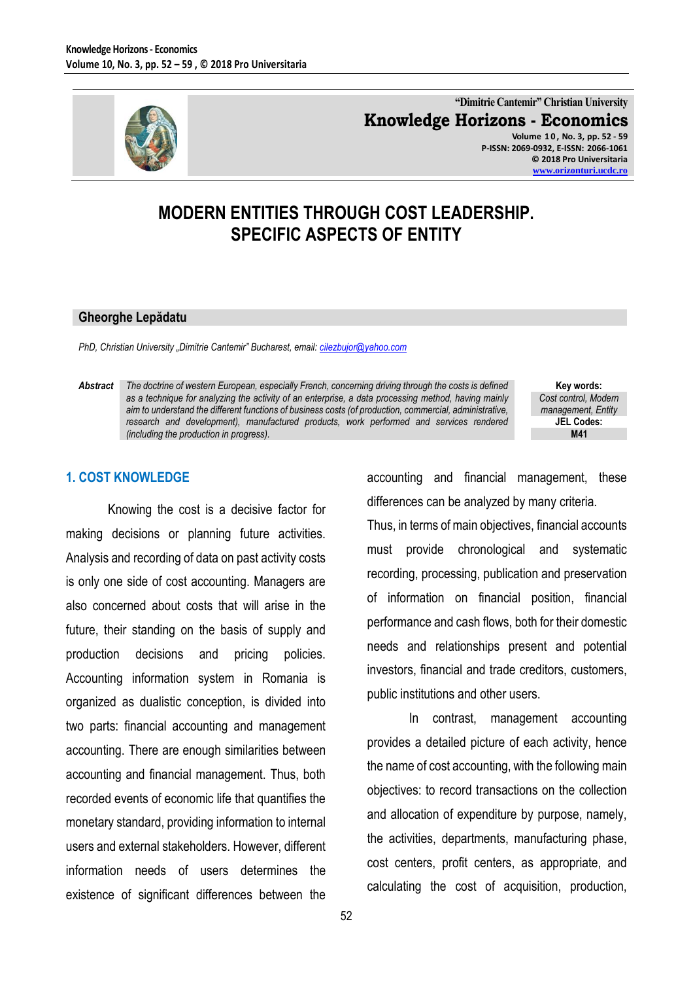

**"Dimitrie Cantemir" Christian University Knowledge Horizons - Economics Volume 1 0 , No. 3, pp. 52 - 59 P-ISSN: 2069-0932, E-ISSN: 2066-1061 © 2018 Pro Universitaria**

**[www.orizonturi.ucdc.ro](http://www.orizonturi.ucdc.ro/)**

## **MODERN ENTITIES THROUGH COST LEADERSHIP. SPECIFIC ASPECTS OF ENTITY**

#### **Gheorghe Lepădatu**

*PhD, Christian University "Dimitrie Cantemir" Bucharest, email: [cilezbujor@yahoo.com](mailto:cilezbujor@yahoo.com)*

*Abstract The doctrine of western European, especially French, concerning driving through the costs is defined as a technique for analyzing the activity of an enterprise, a data processing method, having mainly aim to understand the different functions of business costs (of production, commercial, administrative, research and development), manufactured products, work performed and services rendered (including the production in progress).*

**Key words:** *Cost control, Modern management, Entity* **JEL Codes: M41**

#### **1. COST KNOWLEDGE**

Knowing the cost is a decisive factor for making decisions or planning future activities. Analysis and recording of data on past activity costs is only one side of cost accounting. Managers are also concerned about costs that will arise in the future, their standing on the basis of supply and production decisions and pricing policies. Accounting information system in Romania is organized as dualistic conception, is divided into two parts: financial accounting and management accounting. There are enough similarities between accounting and financial management. Thus, both recorded events of economic life that quantifies the monetary standard, providing information to internal users and external stakeholders. However, different information needs of users determines the existence of significant differences between the

accounting and financial management, these differences can be analyzed by many criteria.

Thus, in terms of main objectives, financial accounts must provide chronological and systematic recording, processing, publication and preservation of information on financial position, financial performance and cash flows, both for their domestic needs and relationships present and potential investors, financial and trade creditors, customers, public institutions and other users.

In contrast, management accounting provides a detailed picture of each activity, hence the name of cost accounting, with the following main objectives: to record transactions on the collection and allocation of expenditure by purpose, namely, the activities, departments, manufacturing phase, cost centers, profit centers, as appropriate, and calculating the cost of acquisition, production,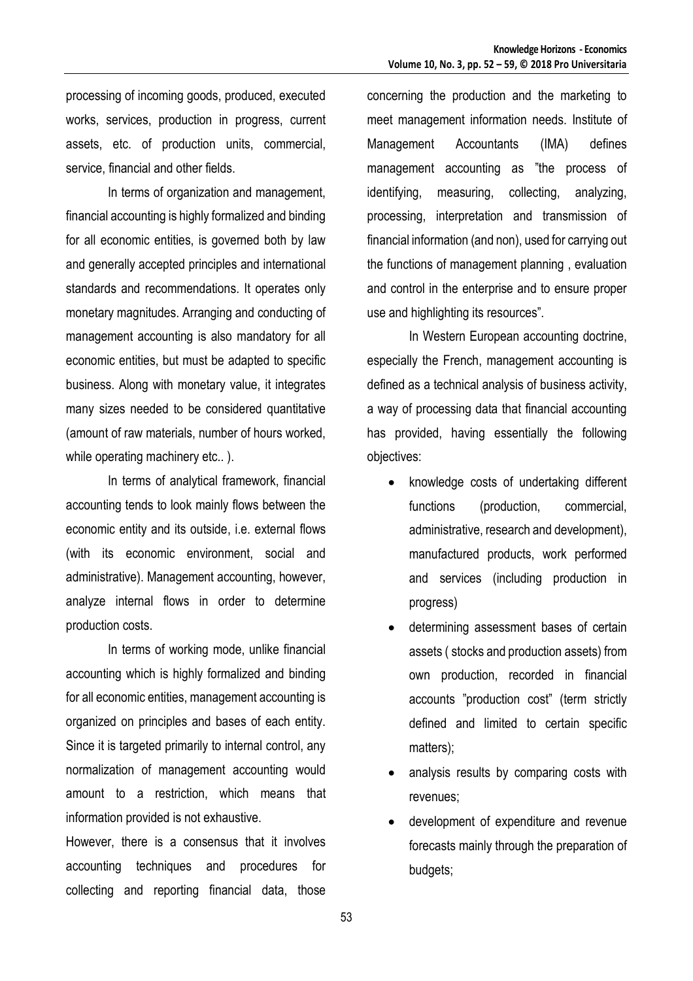processing of incoming goods, produced, executed works, services, production in progress, current assets, etc. of production units, commercial, service, financial and other fields.

In terms of organization and management, financial accounting is highly formalized and binding for all economic entities, is governed both by law and generally accepted principles and international standards and recommendations. It operates only monetary magnitudes. Arranging and conducting of management accounting is also mandatory for all economic entities, but must be adapted to specific business. Along with monetary value, it integrates many sizes needed to be considered quantitative (amount of raw materials, number of hours worked, while operating machinery etc..).

In terms of analytical framework, financial accounting tends to look mainly flows between the economic entity and its outside, i.e. external flows (with its economic environment, social and administrative). Management accounting, however, analyze internal flows in order to determine production costs.

In terms of working mode, unlike financial accounting which is highly formalized and binding for all economic entities, management accounting is organized on principles and bases of each entity. Since it is targeted primarily to internal control, any normalization of management accounting would amount to a restriction, which means that information provided is not exhaustive.

However, there is a consensus that it involves accounting techniques and procedures for collecting and reporting financial data, those concerning the production and the marketing to meet management information needs. Institute of Management Accountants (IMA) defines management accounting as "the process of identifying, measuring, collecting, analyzing, processing, interpretation and transmission of financial information (and non), used for carrying out the functions of management planning , evaluation and control in the enterprise and to ensure proper use and highlighting its resources".

In Western European accounting doctrine, especially the French, management accounting is defined as a technical analysis of business activity, a way of processing data that financial accounting has provided, having essentially the following objectives:

- knowledge costs of undertaking different functions (production, commercial, administrative, research and development), manufactured products, work performed and services (including production in progress)
- determining assessment bases of certain assets ( stocks and production assets) from own production, recorded in financial accounts "production cost" (term strictly defined and limited to certain specific matters);
- analysis results by comparing costs with revenues;
- development of expenditure and revenue forecasts mainly through the preparation of budgets;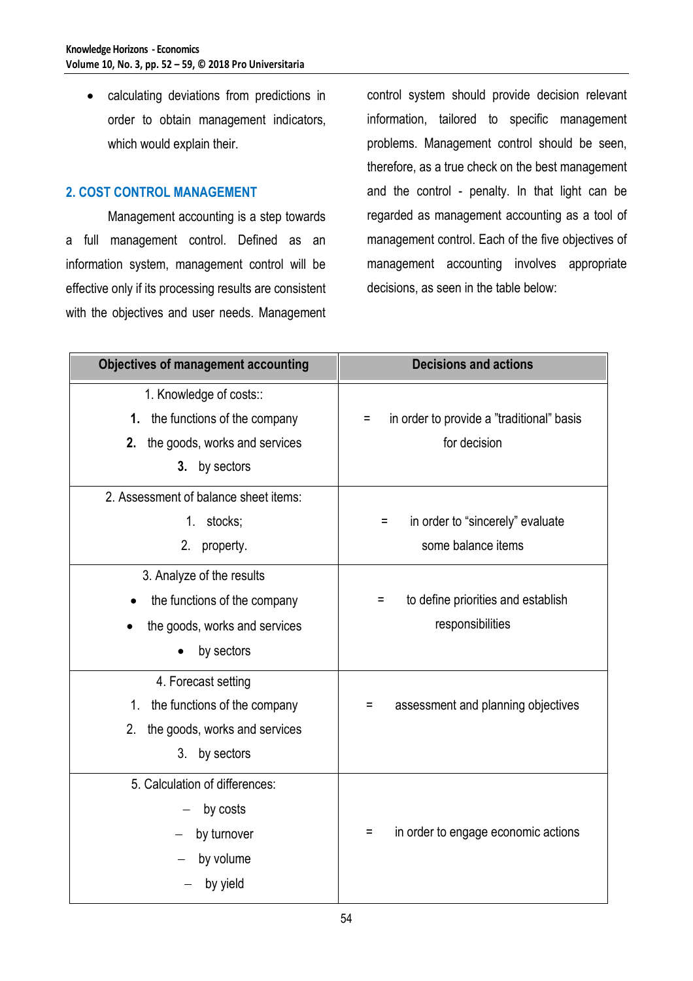calculating deviations from predictions in order to obtain management indicators, which would explain their.

#### **2. COST CONTROL MANAGEMENT**

Management accounting is a step towards a full management control. Defined as an information system, management control will be effective only if its processing results are consistent with the objectives and user needs. Management control system should provide decision relevant information, tailored to specific management problems. Management control should be seen, therefore, as a true check on the best management and the control - penalty. In that light can be regarded as management accounting as a tool of management control. Each of the five objectives of management accounting involves appropriate decisions, as seen in the table below:

| <b>Objectives of management accounting</b>                                                                                 | <b>Decisions and actions</b>                                   |
|----------------------------------------------------------------------------------------------------------------------------|----------------------------------------------------------------|
| 1. Knowledge of costs::<br>1. the functions of the company<br>the goods, works and services<br>2.<br>3. by sectors         | in order to provide a "traditional" basis<br>Ξ<br>for decision |
| 2. Assessment of balance sheet items:<br>stocks;<br>1.<br>2.<br>property.                                                  | in order to "sincerely" evaluate<br>Ξ<br>some balance items    |
| 3. Analyze of the results<br>the functions of the company<br>the goods, works and services<br>by sectors                   | to define priorities and establish<br>Ξ<br>responsibilities    |
| 4. Forecast setting<br>the functions of the company<br>$1_{\cdot}$<br>the goods, works and services<br>2.<br>3. by sectors | assessment and planning objectives<br>Ξ                        |
| 5. Calculation of differences:<br>by costs<br>by turnover<br>by volume<br>by yield                                         | in order to engage economic actions<br>Ξ                       |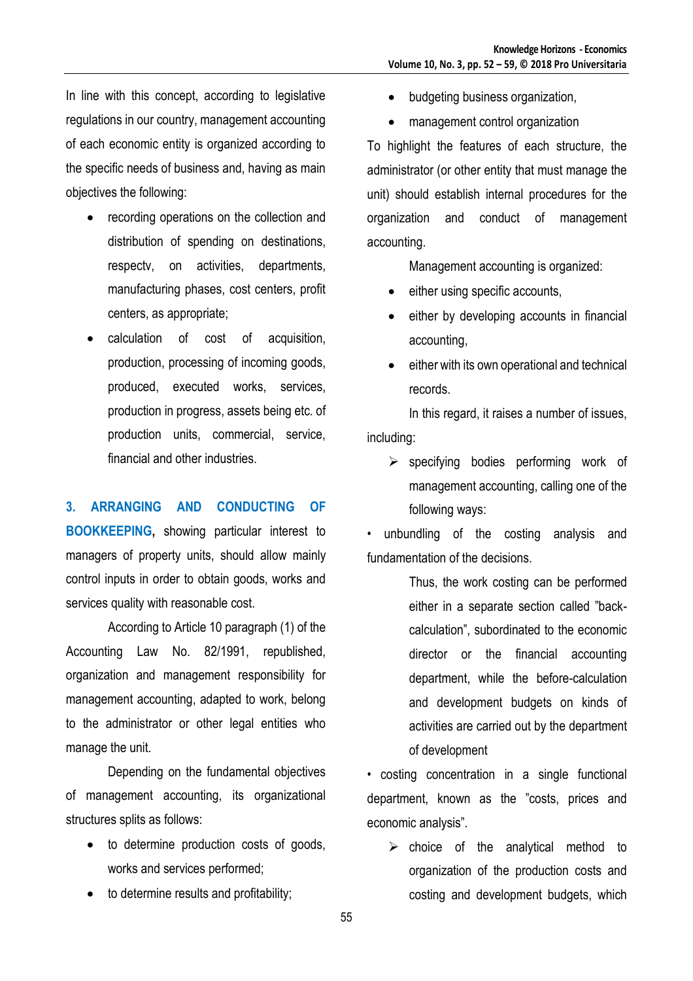In line with this concept, according to legislative regulations in our country, management accounting of each economic entity is organized according to the specific needs of business and, having as main objectives the following:

- recording operations on the collection and distribution of spending on destinations, respectv, on activities, departments, manufacturing phases, cost centers, profit centers, as appropriate;
- calculation of cost of acquisition, production, processing of incoming goods, produced, executed works, services, production in progress, assets being etc. of production units, commercial, service, financial and other industries.

# **3. ARRANGING AND CONDUCTING OF**

**BOOKKEEPING,** showing particular interest to managers of property units, should allow mainly control inputs in order to obtain goods, works and services quality with reasonable cost.

According to Article 10 paragraph (1) of the Accounting Law No. 82/1991, republished, organization and management responsibility for management accounting, adapted to work, belong to the administrator or other legal entities who manage the unit.

Depending on the fundamental objectives of management accounting, its organizational structures splits as follows:

- to determine production costs of goods, works and services performed;
- to determine results and profitability;
- budgeting business organization,
- management control organization

To highlight the features of each structure, the administrator (or other entity that must manage the unit) should establish internal procedures for the organization and conduct of management accounting.

Management accounting is organized:

- either using specific accounts,
- either by developing accounts in financial accounting,
- either with its own operational and technical records.

In this regard, it raises a number of issues, including:

 $\triangleright$  specifying bodies performing work of management accounting, calling one of the following ways:

• unbundling of the costing analysis and fundamentation of the decisions.

> Thus, the work costing can be performed either in a separate section called "backcalculation", subordinated to the economic director or the financial accounting department, while the before-calculation and development budgets on kinds of activities are carried out by the department of development

• costing concentration in a single functional department, known as the "costs, prices and economic analysis".

 $\triangleright$  choice of the analytical method to organization of the production costs and costing and development budgets, which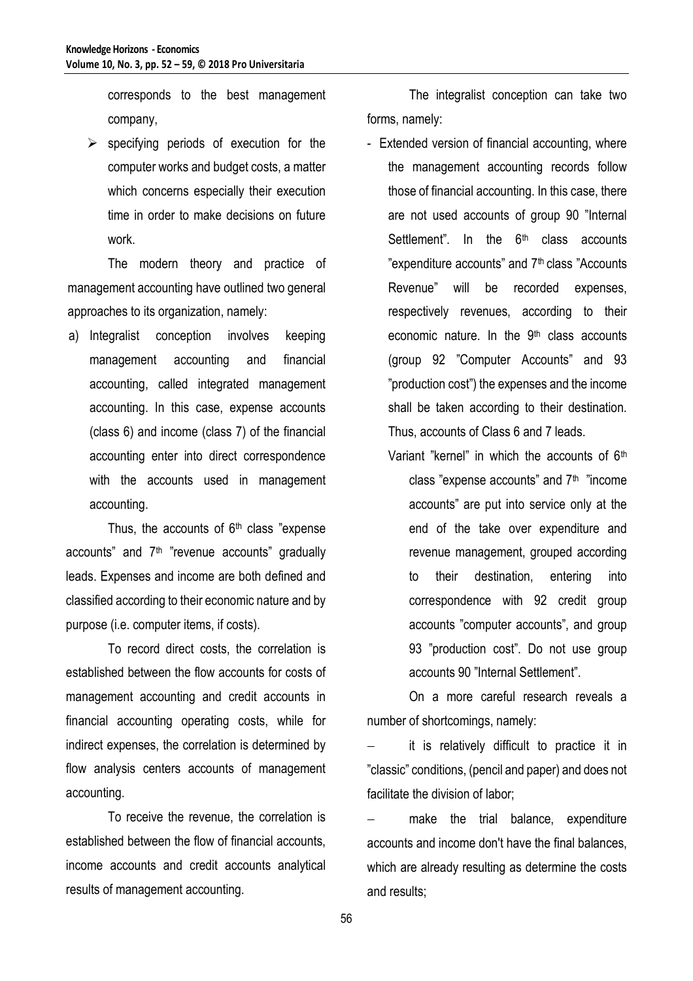corresponds to the best management company,

 $\triangleright$  specifying periods of execution for the computer works and budget costs, a matter which concerns especially their execution time in order to make decisions on future work.

The modern theory and practice of management accounting have outlined two general approaches to its organization, namely:

a) Integralist conception involves keeping management accounting and financial accounting, called integrated management accounting. In this case, expense accounts (class 6) and income (class 7) of the financial accounting enter into direct correspondence with the accounts used in management accounting.

Thus, the accounts of  $6<sup>th</sup>$  class "expense accounts" and  $7<sup>th</sup>$  "revenue accounts" gradually leads. Expenses and income are both defined and classified according to their economic nature and by purpose (i.e. computer items, if costs).

To record direct costs, the correlation is established between the flow accounts for costs of management accounting and credit accounts in financial accounting operating costs, while for indirect expenses, the correlation is determined by flow analysis centers accounts of management accounting.

To receive the revenue, the correlation is established between the flow of financial accounts, income accounts and credit accounts analytical results of management accounting.

The integralist conception can take two forms, namely:

- Extended version of financial accounting, where the management accounting records follow those of financial accounting. In this case, there are not used accounts of group 90 "Internal Settlement". In the  $6<sup>th</sup>$  class accounts "expenditure accounts" and 7th class "Accounts Revenue" will be recorded expenses, respectively revenues, according to their economic nature. In the 9<sup>th</sup> class accounts (group 92 "Computer Accounts" and 93 "production cost") the expenses and the income shall be taken according to their destination. Thus, accounts of Class 6 and 7 leads.
	- Variant "kernel" in which the accounts of 6<sup>th</sup> class "expense accounts" and 7<sup>th</sup> "income accounts" are put into service only at the end of the take over expenditure and revenue management, grouped according to their destination, entering into correspondence with 92 credit group accounts "computer accounts", and group 93 "production cost". Do not use group accounts 90 "Internal Settlement".

On a more careful research reveals a number of shortcomings, namely:

 it is relatively difficult to practice it in "classic" conditions, (pencil and paper) and does not facilitate the division of labor;

 make the trial balance, expenditure accounts and income don't have the final balances, which are already resulting as determine the costs and results;

56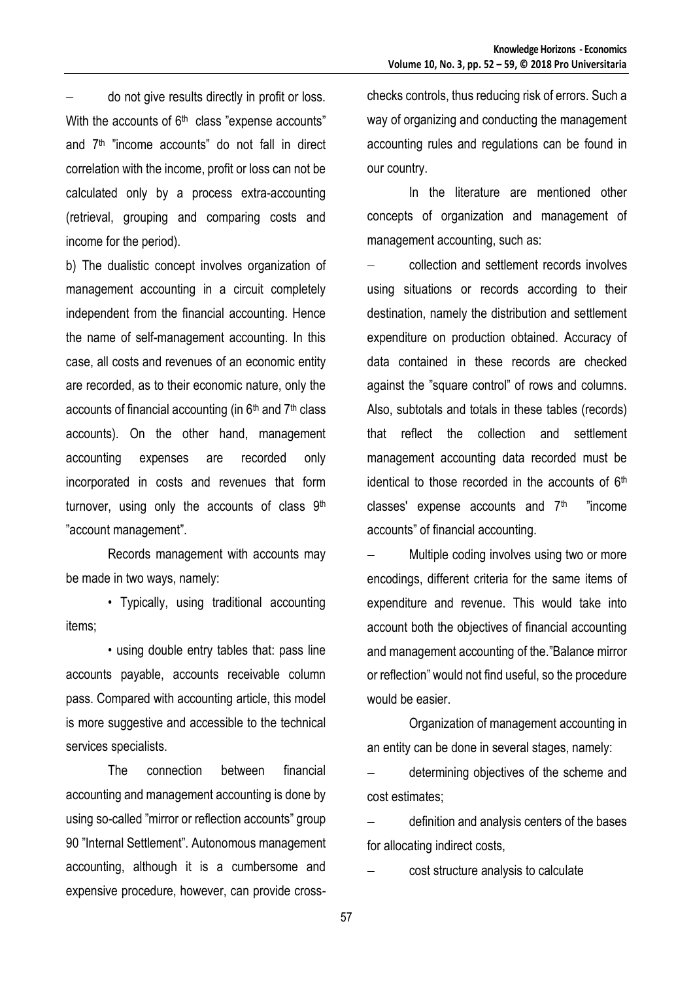do not give results directly in profit or loss. With the accounts of  $6^{\text{th}}~$  class "expense accounts" and 7<sup>th</sup> "income accounts" do not fall in direct correlation with the income, profit or loss can not be calculated only by a process extra-accounting (retrieval, grouping and comparing costs and income for the period).

b) The dualistic concept involves organization of management accounting in a circuit completely independent from the financial accounting. Hence the name of self-management accounting. In this case, all costs and revenues of an economic entity are recorded, as to their economic nature, only the accounts of financial accounting (in  $6<sup>th</sup>$  and  $7<sup>th</sup>$  class accounts). On the other hand, management accounting expenses are recorded only incorporated in costs and revenues that form turnover, using only the accounts of class 9<sup>th</sup> "account management".

Records management with accounts may be made in two ways, namely:

• Typically, using traditional accounting items;

• using double entry tables that: pass line accounts payable, accounts receivable column pass. Compared with accounting article, this model is more suggestive and accessible to the technical services specialists.

The connection between financial accounting and management accounting is done by using so-called "mirror or reflection accounts" group 90 "Internal Settlement". Autonomous management accounting, although it is a cumbersome and expensive procedure, however, can provide cross-

checks controls, thus reducing risk of errors. Such a way of organizing and conducting the management accounting rules and regulations can be found in our country.

In the literature are mentioned other concepts of organization and management of management accounting, such as:

 collection and settlement records involves using situations or records according to their destination, namely the distribution and settlement expenditure on production obtained. Accuracy of data contained in these records are checked against the "square control" of rows and columns. Also, subtotals and totals in these tables (records) that reflect the collection and settlement management accounting data recorded must be identical to those recorded in the accounts of 6<sup>th</sup> classes' expense accounts and  $7<sup>th</sup>$  "income accounts" of financial accounting.

 Multiple coding involves using two or more encodings, different criteria for the same items of expenditure and revenue. This would take into account both the objectives of financial accounting and management accounting of the."Balance mirror or reflection" would not find useful, so the procedure would be easier.

Organization of management accounting in an entity can be done in several stages, namely:

 determining objectives of the scheme and cost estimates;

 definition and analysis centers of the bases for allocating indirect costs,

cost structure analysis to calculate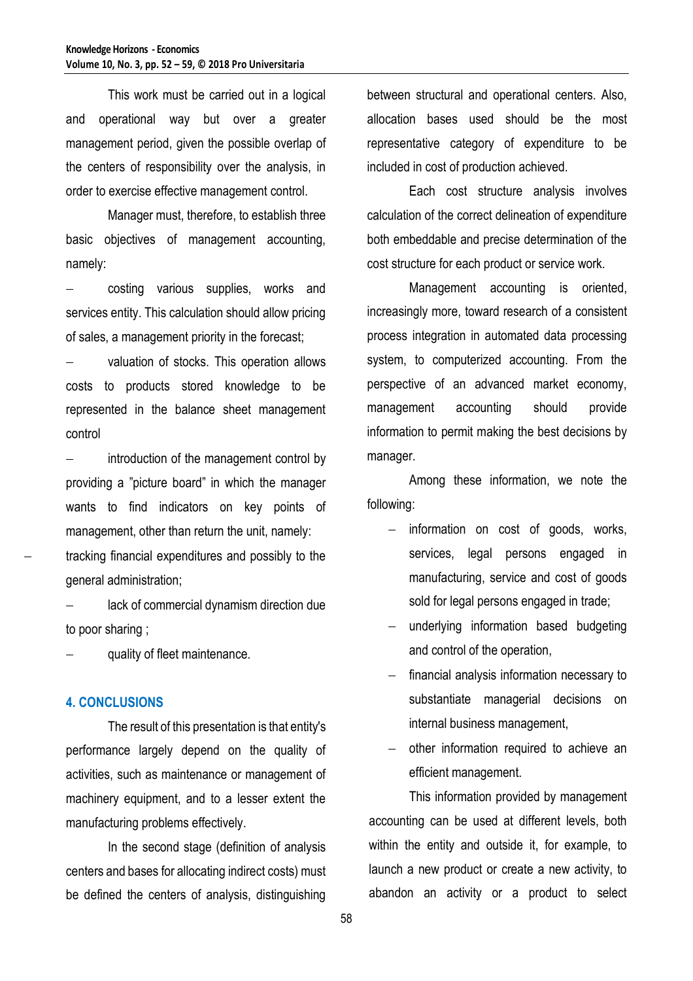This work must be carried out in a logical and operational way but over a greater management period, given the possible overlap of the centers of responsibility over the analysis, in order to exercise effective management control.

Manager must, therefore, to establish three basic objectives of management accounting, namely:

 costing various supplies, works and services entity. This calculation should allow pricing of sales, a management priority in the forecast;

 valuation of stocks. This operation allows costs to products stored knowledge to be represented in the balance sheet management control

 introduction of the management control by providing a "picture board" in which the manager wants to find indicators on key points of management, other than return the unit, namely:

 tracking financial expenditures and possibly to the general administration;

 lack of commercial dynamism direction due to poor sharing ;

quality of fleet maintenance.

#### **4. CONCLUSIONS**

The result of this presentation is that entity's performance largely depend on the quality of activities, such as maintenance or management of machinery equipment, and to a lesser extent the manufacturing problems effectively.

In the second stage (definition of analysis centers and bases for allocating indirect costs) must be defined the centers of analysis, distinguishing

between structural and operational centers. Also, allocation bases used should be the most representative category of expenditure to be included in cost of production achieved.

Each cost structure analysis involves calculation of the correct delineation of expenditure both embeddable and precise determination of the cost structure for each product or service work.

Management accounting is oriented, increasingly more, toward research of a consistent process integration in automated data processing system, to computerized accounting. From the perspective of an advanced market economy, management accounting should provide information to permit making the best decisions by manager.

Among these information, we note the following:

- information on cost of goods, works, services, legal persons engaged in manufacturing, service and cost of goods sold for legal persons engaged in trade;
- underlying information based budgeting and control of the operation,
- financial analysis information necessary to substantiate managerial decisions on internal business management,
- other information required to achieve an efficient management.

This information provided by management accounting can be used at different levels, both within the entity and outside it, for example, to launch a new product or create a new activity, to abandon an activity or a product to select